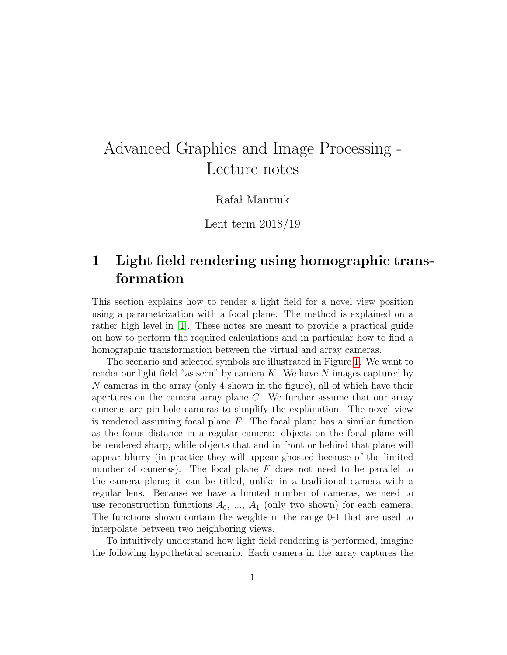# Advanced Graphics and Image Processing - Lecture notes

Rafał Mantiuk

Lent term 2018/19

## 1 Light field rendering using homographic transformation

This section explains how to render a light field for a novel view position using a parametrization with a focal plane. The method is explained on a rather high level in [\[1\]](#page-6-0). These notes are meant to provide a practical guide on how to perform the required calculations and in particular how to find a homographic transformation between the virtual and array cameras.

The scenario and selected symbols are illustrated in Figure [1.](#page-1-0) We want to render our light field "as seen" by camera  $K$ . We have N images captured by N cameras in the array (only 4 shown in the figure), all of which have their apertures on the camera array plane C. We further assume that our array cameras are pin-hole cameras to simplify the explanation. The novel view is rendered assuming focal plane  $F$ . The focal plane has a similar function as the focus distance in a regular camera: objects on the focal plane will be rendered sharp, while objects that and in front or behind that plane will appear blurry (in practice they will appear ghosted because of the limited number of cameras). The focal plane  $F$  does not need to be parallel to the camera plane; it can be titled, unlike in a traditional camera with a regular lens. Because we have a limited number of cameras, we need to use reconstruction functions  $A_0$ , ...,  $A_1$  (only two shown) for each camera. The functions shown contain the weights in the range 0-1 that are used to interpolate between two neighboring views.

To intuitively understand how light field rendering is performed, imagine the following hypothetical scenario. Each camera in the array captures the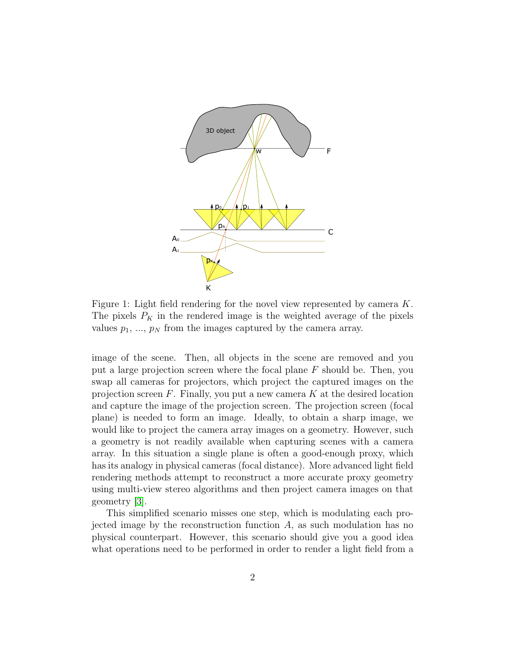<span id="page-1-0"></span>

Figure 1: Light field rendering for the novel view represented by camera K. The pixels  $P_K$  in the rendered image is the weighted average of the pixels values  $p_1, ..., p_N$  from the images captured by the camera array.

image of the scene. Then, all objects in the scene are removed and you put a large projection screen where the focal plane  $F$  should be. Then, you swap all cameras for projectors, which project the captured images on the projection screen  $F$ . Finally, you put a new camera  $K$  at the desired location and capture the image of the projection screen. The projection screen (focal plane) is needed to form an image. Ideally, to obtain a sharp image, we would like to project the camera array images on a geometry. However, such a geometry is not readily available when capturing scenes with a camera array. In this situation a single plane is often a good-enough proxy, which has its analogy in physical cameras (focal distance). More advanced light field rendering methods attempt to reconstruct a more accurate proxy geometry using multi-view stereo algorithms and then project camera images on that geometry [\[3\]](#page-6-1).

This simplified scenario misses one step, which is modulating each projected image by the reconstruction function A, as such modulation has no physical counterpart. However, this scenario should give you a good idea what operations need to be performed in order to render a light field from a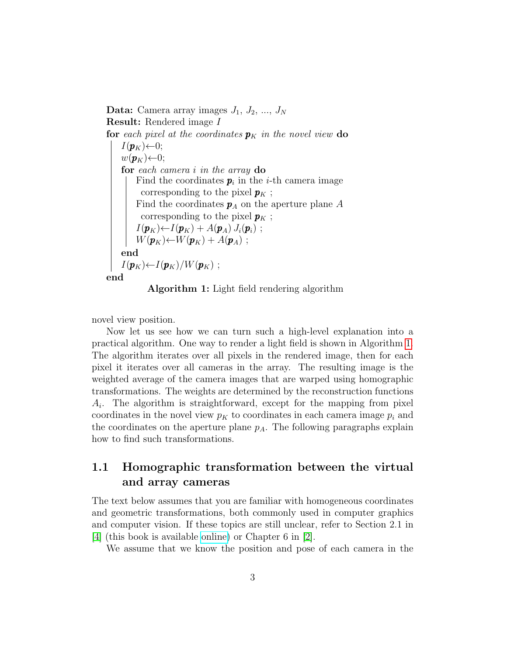**Data:** Camera array images  $J_1$ ,  $J_2$ , ...,  $J_N$ Result: Rendered image I for each pixel at the coordinates  $p<sub>K</sub>$  in the novel view do  $I(\boldsymbol{p}_K) \leftarrow 0;$  $w(\mathbf{p}_K) \leftarrow 0;$ for each camera i in the array do Find the coordinates  $p_i$  in the *i*-th camera image corresponding to the pixel  $\pmb{p}_K$  ; Find the coordinates  $p_A$  on the aperture plane A corresponding to the pixel  $p_K$ ;  $I(\boldsymbol{p}_K) \leftarrow I(\boldsymbol{p}_K) + A(\boldsymbol{p}_A) J_i(\boldsymbol{p}_i)$ ;  $W(\boldsymbol{p}_K) \leftarrow W(\boldsymbol{p}_K) + A(\boldsymbol{p}_A)$ ; end  $I(\mathbf{p}_K) \leftarrow I(\mathbf{p}_K)/W(\mathbf{p}_K)$ ; end

Algorithm 1: Light field rendering algorithm

<span id="page-2-0"></span>novel view position.

Now let us see how we can turn such a high-level explanation into a practical algorithm. One way to render a light field is shown in Algorithm [1.](#page-2-0) The algorithm iterates over all pixels in the rendered image, then for each pixel it iterates over all cameras in the array. The resulting image is the weighted average of the camera images that are warped using homographic transformations. The weights are determined by the reconstruction functions  $A_i$ . The algorithm is straightforward, except for the mapping from pixel coordinates in the novel view  $p<sub>K</sub>$  to coordinates in each camera image  $p<sub>i</sub>$  and the coordinates on the aperture plane  $p_A$ . The following paragraphs explain how to find such transformations.

### 1.1 Homographic transformation between the virtual and array cameras

The text below assumes that you are familiar with homogeneous coordinates and geometric transformations, both commonly used in computer graphics and computer vision. If these topics are still unclear, refer to Section 2.1 in [\[4\]](#page-6-2) (this book is available [online\)](http://szeliski.org/Book/) or Chapter 6 in [\[2\]](#page-6-3).

We assume that we know the position and pose of each camera in the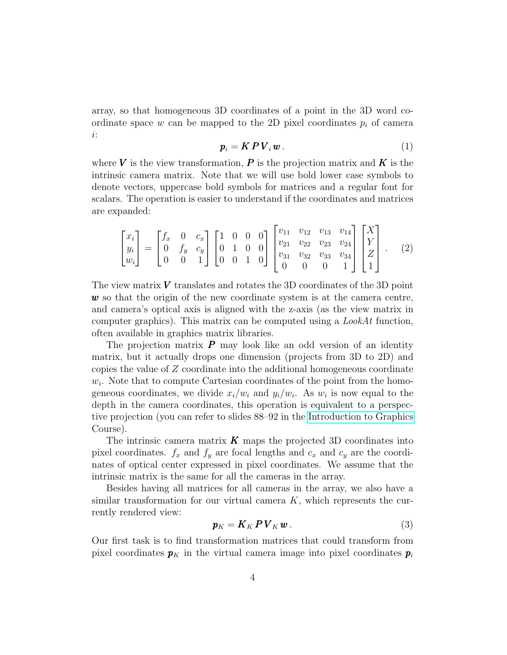array, so that homogeneous 3D coordinates of a point in the 3D word coordinate space w can be mapped to the 2D pixel coordinates  $p_i$  of camera i:

$$
\boldsymbol{p}_i = \boldsymbol{K} \boldsymbol{P} \boldsymbol{V}_i \boldsymbol{w} \,. \tag{1}
$$

where V is the view transformation, P is the projection matrix and K is the intrinsic camera matrix. Note that we will use bold lower case symbols to denote vectors, uppercase bold symbols for matrices and a regular font for scalars. The operation is easier to understand if the coordinates and matrices are expanded:

<span id="page-3-0"></span>
$$
\begin{bmatrix} x_i \\ y_i \\ w_i \end{bmatrix} = \begin{bmatrix} f_x & 0 & c_x \\ 0 & f_y & c_y \\ 0 & 0 & 1 \end{bmatrix} \begin{bmatrix} 1 & 0 & 0 & 0 \\ 0 & 1 & 0 & 0 \\ 0 & 0 & 1 & 0 \end{bmatrix} \begin{bmatrix} v_{11} & v_{12} & v_{13} & v_{14} \\ v_{21} & v_{22} & v_{23} & v_{24} \\ v_{31} & v_{32} & v_{33} & v_{34} \\ 0 & 0 & 0 & 1 \end{bmatrix} \begin{bmatrix} X \\ Y \\ Z \\ Z \end{bmatrix} . \tag{2}
$$

The view matrix  $V$  translates and rotates the 3D coordinates of the 3D point  $w$  so that the origin of the new coordinate system is at the camera centre, and camera's optical axis is aligned with the z-axis (as the view matrix in computer graphics). This matrix can be computed using a  $LookAt$  function, often available in graphics matrix libraries.

The projection matrix  $P$  may look like an odd version of an identity matrix, but it actually drops one dimension (projects from 3D to 2D) and copies the value of Z coordinate into the additional homogeneous coordinate  $w_i$ . Note that to compute Cartesian coordinates of the point from the homogeneous coordinates, we divide  $x_i/w_i$  and  $y_i/w_i$ . As  $w_i$  is now equal to the depth in the camera coordinates, this operation is equivalent to a perspective projection (you can refer to slides 88–92 in the [Introduction to Graphics](https://www.cl.cam.ac.uk/teaching/1819/Graphics/Introduction_to_Graphics_2018_6pp.pdf) Course).

The intrinsic camera matrix  $\boldsymbol{K}$  maps the projected 3D coordinates into pixel coordinates.  $f_x$  and  $f_y$  are focal lengths and  $c_x$  and  $c_y$  are the coordinates of optical center expressed in pixel coordinates. We assume that the intrinsic matrix is the same for all the cameras in the array.

Besides having all matrices for all cameras in the array, we also have a similar transformation for our virtual camera  $K$ , which represents the currently rendered view:

$$
\mathbf{p}_K = \mathbf{K}_K \mathbf{P} \mathbf{V}_K \mathbf{w} \,. \tag{3}
$$

Our first task is to find transformation matrices that could transform from pixel coordinates  $p<sub>K</sub>$  in the virtual camera image into pixel coordinates  $p<sub>i</sub>$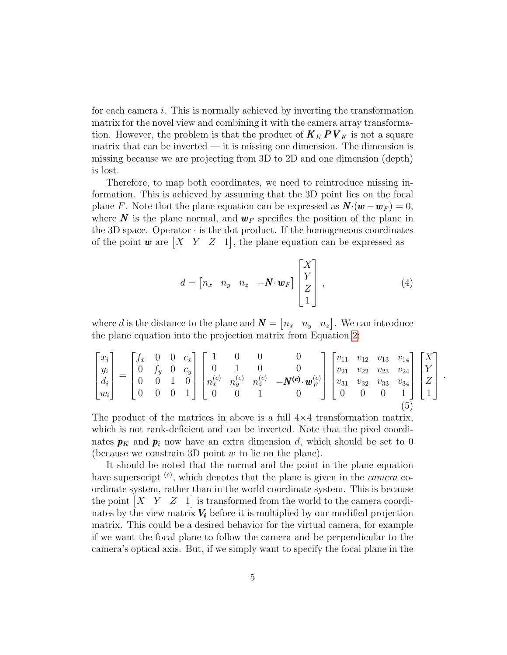for each camera i. This is normally achieved by inverting the transformation matrix for the novel view and combining it with the camera array transformation. However, the problem is that the product of  $K_K P V_K$  is not a square matrix that can be inverted — it is missing one dimension. The dimension is missing because we are projecting from 3D to 2D and one dimension (depth) is lost.

Therefore, to map both coordinates, we need to reintroduce missing information. This is achieved by assuming that the 3D point lies on the focal plane F. Note that the plane equation can be expressed as  $\mathbf{N} \cdot (\mathbf{w} - \mathbf{w}_F) = 0$ , where N is the plane normal, and  $w_F$  specifies the position of the plane in the 3D space. Operator  $\cdot$  is the dot product. If the homogeneous coordinates of the point **w** are  $\begin{bmatrix} X & Y & Z & 1 \end{bmatrix}$ , the plane equation can be expressed as

$$
d = \begin{bmatrix} n_x & n_y & n_z & -\mathbf{N} \cdot \mathbf{w}_F \end{bmatrix} \begin{bmatrix} X \\ Y \\ Z \\ 1 \end{bmatrix}, \tag{4}
$$

.

where d is the distance to the plane and  $\mathbf{N} = \begin{bmatrix} n_x & n_y & n_z \end{bmatrix}$ . We can introduce the plane equation into the projection matrix from Equation [2:](#page-3-0)

<span id="page-4-0"></span>
$$
\begin{bmatrix} x_i \\ y_i \\ d_i \\ w_i \end{bmatrix} = \begin{bmatrix} f_x & 0 & 0 & c_x \\ 0 & f_y & 0 & c_y \\ 0 & 0 & 1 & 0 \\ 0 & 0 & 0 & 1 \end{bmatrix} \begin{bmatrix} 1 & 0 & 0 & 0 \\ 0 & 1 & 0 & 0 \\ n_x^{(c)} & n_y^{(c)} & n_z^{(c)} & -N^{(c)} \cdot \mathbf{w}_F^{(c)} \\ 0 & 0 & 1 & 0 \end{bmatrix} \begin{bmatrix} v_{11} & v_{12} & v_{13} & v_{14} \\ v_{21} & v_{22} & v_{23} & v_{24} \\ v_{31} & v_{32} & v_{33} & v_{34} \\ 0 & 0 & 0 & 1 \end{bmatrix} \begin{bmatrix} X \\ Y \\ Z \\ Z \\ 1 \end{bmatrix}
$$

The product of the matrices in above is a full  $4\times4$  transformation matrix, which is not rank-deficient and can be inverted. Note that the pixel coordinates  $p_K$  and  $p_i$  now have an extra dimension d, which should be set to 0 (because we constrain 3D point  $w$  to lie on the plane).

It should be noted that the normal and the point in the plane equation have superscript  $\left( \text{c} \right)$ , which denotes that the plane is given in the *camera* coordinate system, rather than in the world coordinate system. This is because the point  $\begin{bmatrix} X & Y & Z & 1 \end{bmatrix}$  is transformed from the world to the camera coordinates by the view matrix  $V_i$  before it is multiplied by our modified projection matrix. This could be a desired behavior for the virtual camera, for example if we want the focal plane to follow the camera and be perpendicular to the camera's optical axis. But, if we simply want to specify the focal plane in the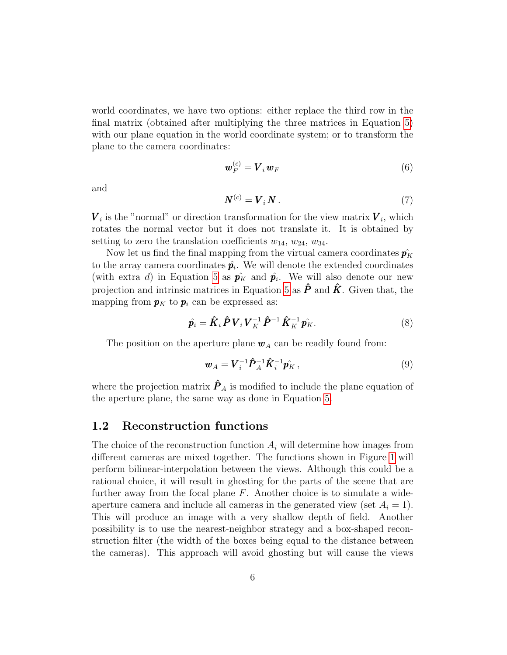world coordinates, we have two options: either replace the third row in the final matrix (obtained after multiplying the three matrices in Equation [5\)](#page-4-0) with our plane equation in the world coordinate system; or to transform the plane to the camera coordinates:

$$
\boldsymbol{w}_F^{(c)} = \boldsymbol{V}_i \boldsymbol{w}_F \tag{6}
$$

and

$$
N^{(c)} = \overline{V}_i N \,. \tag{7}
$$

 $V_i$  is the "normal" or direction transformation for the view matrix  $V_i$ , which rotates the normal vector but it does not translate it. It is obtained by setting to zero the translation coefficients  $w_{14}, w_{24}, w_{34}$ .

Now let us find the final mapping from the virtual camera coordinates  $\hat{p_K}$ to the array camera coordinates  $\hat{p_i}$ . We will denote the extended coordinates (with extra d) in Equation [5](#page-4-0) as  $\hat{p}_K$  and  $\hat{p}_i$ . We will also denote our new projection and intrinsic matrices in Equation [5](#page-4-0) as  $\hat{P}$  and  $\hat{K}$ . Given that, the mapping from  $p<sub>K</sub>$  to  $p<sub>i</sub>$  can be expressed as:

$$
\hat{\boldsymbol{p}}_i = \hat{\boldsymbol{K}}_i \hat{\boldsymbol{P}} \boldsymbol{V}_i \boldsymbol{V}_K^{-1} \hat{\boldsymbol{P}}^{-1} \hat{\boldsymbol{K}}_K^{-1} \hat{\boldsymbol{p}}_K. \tag{8}
$$

The position on the aperture plane  $w_A$  can be readily found from:

$$
\boldsymbol{w}_A = \boldsymbol{V}_i^{-1} \hat{\boldsymbol{P}}_A^{-1} \hat{\boldsymbol{K}}_i^{-1} \hat{\boldsymbol{p}}_K \,, \tag{9}
$$

where the projection matrix  $\hat{\boldsymbol{P}}_A$  is modified to include the plane equation of the aperture plane, the same way as done in Equation [5.](#page-4-0)

#### 1.2 Reconstruction functions

The choice of the reconstruction function  $A_i$  will determine how images from different cameras are mixed together. The functions shown in Figure [1](#page-1-0) will perform bilinear-interpolation between the views. Although this could be a rational choice, it will result in ghosting for the parts of the scene that are further away from the focal plane  $F$ . Another choice is to simulate a wideaperture camera and include all cameras in the generated view (set  $A_i = 1$ ). This will produce an image with a very shallow depth of field. Another possibility is to use the nearest-neighbor strategy and a box-shaped reconstruction filter (the width of the boxes being equal to the distance between the cameras). This approach will avoid ghosting but will cause the views